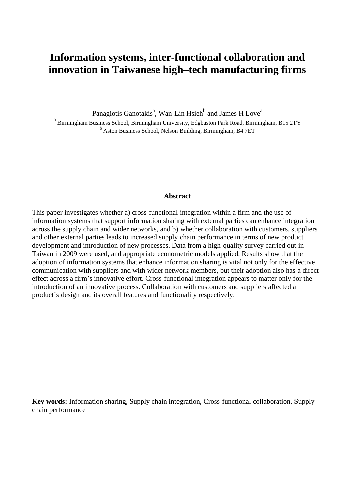# **Information systems, inter-functional collaboration and innovation in Taiwanese high–tech manufacturing firms**

Panagiotis Ganotakis<sup>a</sup>, Wan-Lin Hsieh<sup>b</sup> and James H Love<sup>a</sup>

a<br>Birmingham Business School, Birmingham University, Edgbaston Park Road, Birmingham, B15 2TY <sup>b</sup> Aston Business School, Nelson Building, Birmingham, B4 7ET

#### **Abstract**

This paper investigates whether a) cross-functional integration within a firm and the use of information systems that support information sharing with external parties can enhance integration across the supply chain and wider networks, and b) whether collaboration with customers, suppliers and other external parties leads to increased supply chain performance in terms of new product development and introduction of new processes. Data from a high-quality survey carried out in Taiwan in 2009 were used, and appropriate econometric models applied. Results show that the adoption of information systems that enhance information sharing is vital not only for the effective communication with suppliers and with wider network members, but their adoption also has a direct effect across a firm's innovative effort. Cross-functional integration appears to matter only for the introduction of an innovative process. Collaboration with customers and suppliers affected a product's design and its overall features and functionality respectively.

<span id="page-0-0"></span>**Key words:** Information sharing, Supply chain integration, Cross-functional collaboration, Supply chain performance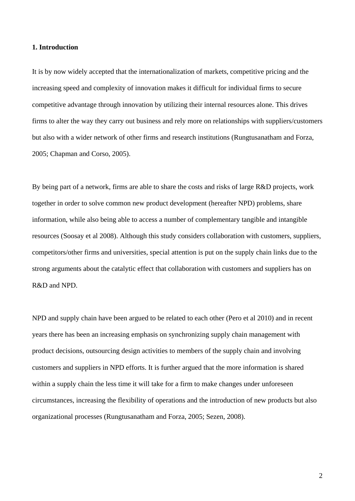#### **1. Introduction**

It is by now widely accepted that the internationalization of markets, competitive pricing and the increasing speed and complexity of innovation makes it difficult for individual firms to secure competitive advantage through innovation by utilizing their internal resources alone. This drives firms to alter the way they carry out business and rely more on relationships with suppliers/customers but also with a wider network of other firms and research institutions (Rungtusanatham and Forza, 2005; Chapman and Corso, 2005).

By being part of a network, firms are able to share the costs and risks of large R&D projects, work together in order to solve common new product development (hereafter NPD) problems, share information, while also being able to access a number of complementary tangible and intangible resources (Soosay et al 2008). Although this study considers collaboration with customers, suppliers, competitors/other firms and universities, special attention is put on the supply chain links due to the strong arguments about the catalytic effect that collaboration with customers and suppliers has on R&D and NPD.

NPD and supply chain have been argued to be related to each other (Pero et al 2010) and in recent years there has been an increasing emphasis on synchronizing supply chain management with product decisions, outsourcing design activities to members of the supply chain and involving customers and suppliers in NPD efforts. It is further argued that the more information is shared within a supply chain the less time it will take for a firm to make changes under unforeseen circumstances, increasing the flexibility of operations and the introduction of new products but also organizational processes (Rungtusanatham and Forza, 2005; Sezen, 2008).

2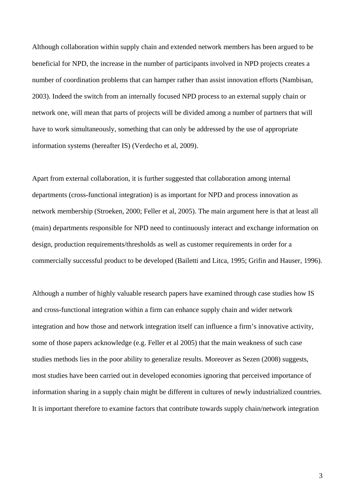Although collaboration within supply chain and extended network members has been argued to be beneficial for NPD, the increase in the number of participants involved in NPD projects creates a number of coordination problems that can hamper rather than assist innovation efforts (Nambisan, 2003). Indeed the switch from an internally focused NPD process to an external supply chain or network one, will mean that parts of projects will be divided among a number of partners that will have to work simultaneously, something that can only be addressed by the use of appropriate information systems (hereafter IS) (Verdecho et al, 2009).

Apart from external collaboration, it is further suggested that collaboration among internal departments (cross-functional integration) is as important for NPD and process innovation as network membership (Stroeken, 2000; Feller et al, 2005). The main argument here is that at least all (main) departments responsible for NPD need to continuously interact and exchange information on design, production requirements/thresholds as well as customer requirements in order for a commercially successful product to be developed (Bailetti and Litca, 1995; Grifin and Hauser, 1996).

Although a number of highly valuable research papers have examined through case studies how IS and cross-functional integration within a firm can enhance supply chain and wider network integration and how those and network integration itself can influence a firm's innovative activity, some of those papers acknowledge (e.g. Feller et al 2005) that the main weakness of such case studies methods lies in the poor ability to generalize results. Moreover as Sezen (2008) suggests, most studies have been carried out in developed economies ignoring that perceived importance of information sharing in a supply chain might be different in cultures of newly industrialized countries. It is important therefore to examine factors that contribute towards supply chain/network integration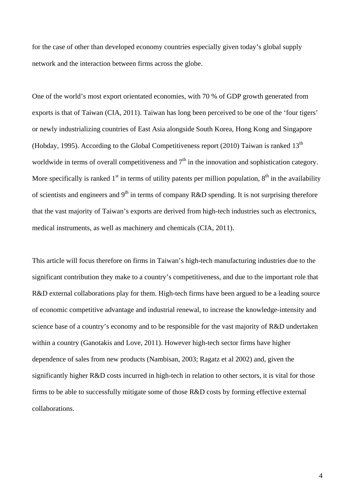for the case of other than developed economy countries especially given today's global supply network and the interaction between firms across the globe.

One of the world's most export orientated economies, with 70 % of GDP growth generated from exports is that of Taiwan (CIA, 2011). Taiwan has long been perceived to be one of the 'four tigers' or newly industrializing countries of East Asia alongside South Korea, Hong Kong and Singapore (Hobday, 1995). According to the Global Competitiveness report (2010) Taiwan is ranked  $13<sup>th</sup>$ worldwide in terms of overall competitiveness and  $7<sup>th</sup>$  in the innovation and sophistication category. More specifically is ranked  $1<sup>st</sup>$  in terms of utility patents per million population,  $8<sup>th</sup>$  in the availability of scientists and engineers and  $9<sup>th</sup>$  in terms of company R&D spending. It is not surprising therefore that the vast majority of Taiwan's exports are derived from high-tech industries such as electronics, medical instruments, as well as machinery and chemicals (CIA, 2011).

This article will focus therefore on firms in Taiwan's high-tech manufacturing industries due to the significant contribution they make to a country's competitiveness, and due to the important role that R&D external collaborations play for them. High-tech firms have been argued to be a leading source of economic competitive advantage and industrial renewal, to increase the knowledge-intensity and science base of a country's economy and to be responsible for the vast majority of R&D undertaken within a country (Ganotakis and Love, 2011). However high-tech sector firms have higher dependence of sales from new products (Nambisan, 2003; Ragatz et al 2002) and, given the significantly higher R&D costs incurred in high-tech in relation to other sectors, it is vital for those firms to be able to successfully mitigate some of those R&D costs by forming effective external collaborations.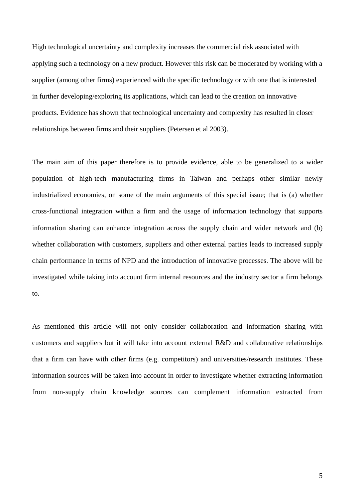High technological uncertainty and complexity increases the commercial risk associated with applying such a technology on a new product. However this risk can be moderated by working with a supplier (among other firms) experienced with the specific technology or with one that is interested in further developing/exploring its applications, which can lead to the creation on innovative products. Evidence has shown that technological uncertainty and complexity has resulted in closer relationships between firms and their suppliers (Petersen et al 2003).

The main aim of this paper therefore is to provide evidence, able to be generalized to a wider population of high-tech manufacturing firms in Taiwan and perhaps other similar newly industrialized economies, on some of the main arguments of this special issue; that is (a) whether cross-functional integration within a firm and the usage of information technology that supports information sharing can enhance integration across the supply chain and wider network and (b) whether collaboration with customers, suppliers and other external parties leads to increased supply chain performance in terms of NPD and the introduction of innovative processes. The above will be investigated while taking into account firm internal resources and the industry sector a firm belongs to.

As mentioned this article will not only consider collaboration and information sharing with customers and suppliers but it will take into account external R&D and collaborative relationships that a firm can have with other firms (e.g. competitors) and universities/research institutes. These information sources will be taken into account in order to investigate whether extracting information from non-supply chain knowledge sources can complement information extracted from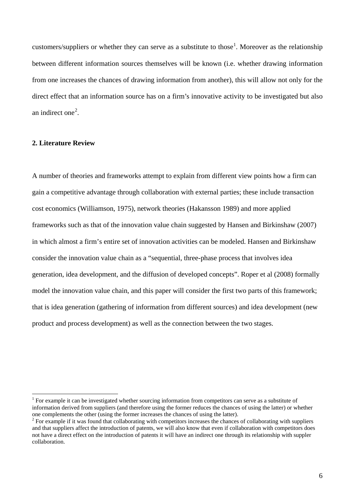customers/suppliers or whether they can serve as a substitute to those<sup>[1](#page-0-0)</sup>. Moreover as the relationship between different information sources themselves will be known (i.e. whether drawing information from one increases the chances of drawing information from another), this will allow not only for the direct effect that an information source has on a firm's innovative activity to be investigated but also an indirect one<sup>[2](#page-5-0)</sup>.

## **2. Literature Review**

A number of theories and frameworks attempt to explain from different view points how a firm can gain a competitive advantage through collaboration with external parties; these include transaction cost economics (Williamson, 1975), network theories (Hakansson 1989) and more applied frameworks such as that of the innovation value chain suggested by Hansen and Birkinshaw (2007) in which almost a firm's entire set of innovation activities can be modeled. Hansen and Birkinshaw consider the innovation value chain as a "sequential, three-phase process that involves idea generation, idea development, and the diffusion of developed concepts". Roper et al (2008) formally model the innovation value chain, and this paper will consider the first two parts of this framework; that is idea generation (gathering of information from different sources) and idea development (new product and process development) as well as the connection between the two stages.

<sup>&</sup>lt;sup>1</sup> For example it can be investigated whether sourcing information from competitors can serve as a substitute of information derived from suppliers (and therefore using the former reduces the chances of using the latter) or whether one complements the other (using the former increases the chances of using the latter).

<span id="page-5-0"></span><sup>&</sup>lt;sup>2</sup> For example if it was found that collaborating with competitors increases the chances of collaborating with suppliers and that suppliers affect the introduction of patents, we will also know that even if collaboration with competitors does not have a direct effect on the introduction of patents it will have an indirect one through its relationship with suppler collaboration.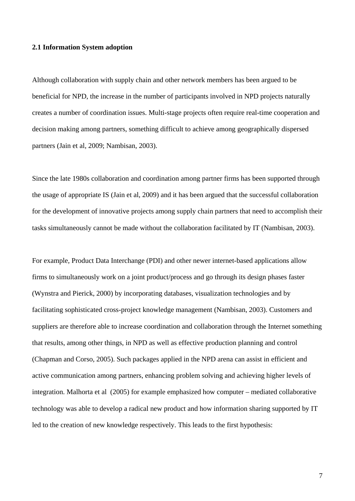#### **2.1 Information System adoption**

Although collaboration with supply chain and other network members has been argued to be beneficial for NPD, the increase in the number of participants involved in NPD projects naturally creates a number of coordination issues. Multi-stage projects often require real-time cooperation and decision making among partners, something difficult to achieve among geographically dispersed partners (Jain et al, 2009; Nambisan, 2003).

Since the late 1980s collaboration and coordination among partner firms has been supported through the usage of appropriate IS (Jain et al, 2009) and it has been argued that the successful collaboration for the development of innovative projects among supply chain partners that need to accomplish their tasks simultaneously cannot be made without the collaboration facilitated by IT (Nambisan, 2003).

For example, Product Data Interchange (PDI) and other newer internet-based applications allow firms to simultaneously work on a joint product/process and go through its design phases faster (Wynstra and Pierick, 2000) by incorporating databases, visualization technologies and by facilitating sophisticated cross-project knowledge management (Nambisan, 2003). Customers and suppliers are therefore able to increase coordination and collaboration through the Internet something that results, among other things, in NPD as well as effective production planning and control (Chapman and Corso, 2005). Such packages applied in the NPD arena can assist in efficient and active communication among partners, enhancing problem solving and achieving higher levels of integration. Malhorta et al (2005) for example emphasized how computer – mediated collaborative technology was able to develop a radical new product and how information sharing supported by IT led to the creation of new knowledge respectively. This leads to the first hypothesis: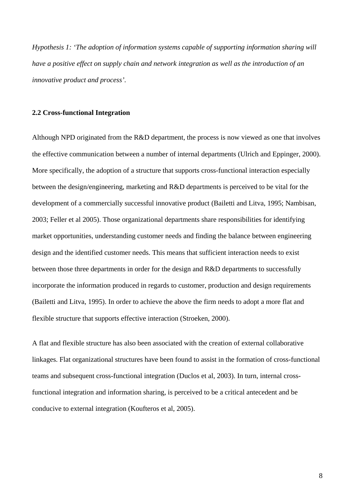*Hypothesis 1: 'The adoption of information systems capable of supporting information sharing will have a positive effect on supply chain and network integration as well as the introduction of an innovative product and process'.*

#### **2.2 Cross-functional Integration**

Although NPD originated from the R&D department, the process is now viewed as one that involves the effective communication between a number of internal departments (Ulrich and Eppinger, 2000). More specifically, the adoption of a structure that supports cross-functional interaction especially between the design/engineering, marketing and R&D departments is perceived to be vital for the development of a commercially successful innovative product (Bailetti and Litva, 1995; Nambisan, 2003; Feller et al 2005). Those organizational departments share responsibilities for identifying market opportunities, understanding customer needs and finding the balance between engineering design and the identified customer needs. This means that sufficient interaction needs to exist between those three departments in order for the design and R&D departments to successfully incorporate the information produced in regards to customer, production and design requirements (Bailetti and Litva, 1995). In order to achieve the above the firm needs to adopt a more flat and flexible structure that supports effective interaction (Stroeken, 2000).

A flat and flexible structure has also been associated with the creation of external collaborative linkages. Flat organizational structures have been found to assist in the formation of cross-functional teams and subsequent cross-functional integration (Duclos et al, 2003). In turn, internal crossfunctional integration and information sharing, is perceived to be a critical antecedent and be conducive to external integration (Koufteros et al, 2005).

8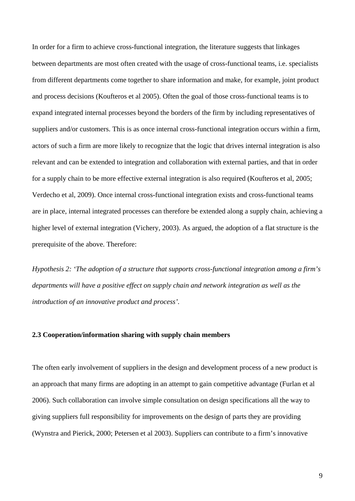In order for a firm to achieve cross-functional integration, the literature suggests that linkages between departments are most often created with the usage of cross-functional teams, i.e. specialists from different departments come together to share information and make, for example, joint product and process decisions (Koufteros et al 2005). Often the goal of those cross-functional teams is to expand integrated internal processes beyond the borders of the firm by including representatives of suppliers and/or customers. This is as once internal cross-functional integration occurs within a firm, actors of such a firm are more likely to recognize that the logic that drives internal integration is also relevant and can be extended to integration and collaboration with external parties, and that in order for a supply chain to be more effective external integration is also required (Koufteros et al, 2005; Verdecho et al, 2009). Once internal cross-functional integration exists and cross-functional teams are in place, internal integrated processes can therefore be extended along a supply chain, achieving a higher level of external integration (Vichery, 2003). As argued, the adoption of a flat structure is the prerequisite of the above. Therefore:

*Hypothesis 2: 'The adoption of a structure that supports cross-functional integration among a firm's departments will have a positive effect on supply chain and network integration as well as the introduction of an innovative product and process'.*

## **2.3 Cooperation/information sharing with supply chain members**

The often early involvement of suppliers in the design and development process of a new product is an approach that many firms are adopting in an attempt to gain competitive advantage (Furlan et al 2006). Such collaboration can involve simple consultation on design specifications all the way to giving suppliers full responsibility for improvements on the design of parts they are providing (Wynstra and Pierick, 2000; Petersen et al 2003). Suppliers can contribute to a firm's innovative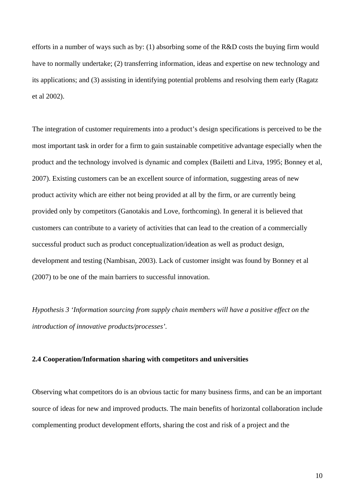efforts in a number of ways such as by: (1) absorbing some of the R&D costs the buying firm would have to normally undertake; (2) transferring information, ideas and expertise on new technology and its applications; and (3) assisting in identifying potential problems and resolving them early (Ragatz et al 2002).

The integration of customer requirements into a product's design specifications is perceived to be the most important task in order for a firm to gain sustainable competitive advantage especially when the product and the technology involved is dynamic and complex (Bailetti and Litva, 1995; Bonney et al, 2007). Existing customers can be an excellent source of information, suggesting areas of new product activity which are either not being provided at all by the firm, or are currently being provided only by competitors (Ganotakis and Love, forthcoming). In general it is believed that customers can contribute to a variety of activities that can lead to the creation of a commercially successful product such as product conceptualization/ideation as well as product design, development and testing (Nambisan, 2003). Lack of customer insight was found by Bonney et al (2007) to be one of the main barriers to successful innovation.

*Hypothesis 3 'Information sourcing from supply chain members will have a positive effect on the introduction of innovative products/processes'.*

## **2.4 Cooperation/Information sharing with competitors and universities**

Observing what competitors do is an obvious tactic for many business firms, and can be an important source of ideas for new and improved products. The main benefits of horizontal collaboration include complementing product development efforts, sharing the cost and risk of a project and the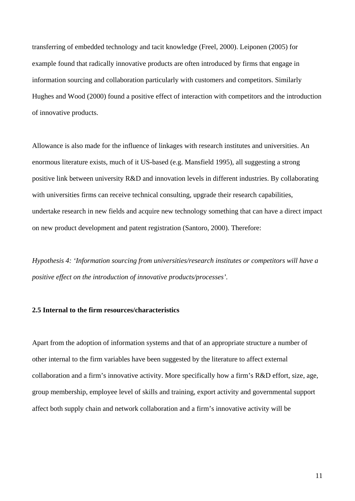transferring of embedded technology and tacit knowledge (Freel, 2000). Leiponen (2005) for example found that radically innovative products are often introduced by firms that engage in information sourcing and collaboration particularly with customers and competitors. Similarly Hughes and Wood (2000) found a positive effect of interaction with competitors and the introduction of innovative products.

Allowance is also made for the influence of linkages with research institutes and universities. An enormous literature exists, much of it US-based (e.g. Mansfield 1995), all suggesting a strong positive link between university R&D and innovation levels in different industries. By collaborating with universities firms can receive technical consulting, upgrade their research capabilities, undertake research in new fields and acquire new technology something that can have a direct impact on new product development and patent registration (Santoro, 2000). Therefore:

*Hypothesis 4: 'Information sourcing from universities/research institutes or competitors will have a positive effect on the introduction of innovative products/processes'.* 

## **2.5 Internal to the firm resources/characteristics**

Apart from the adoption of information systems and that of an appropriate structure a number of other internal to the firm variables have been suggested by the literature to affect external collaboration and a firm's innovative activity. More specifically how a firm's R&D effort, size, age, group membership, employee level of skills and training, export activity and governmental support affect both supply chain and network collaboration and a firm's innovative activity will be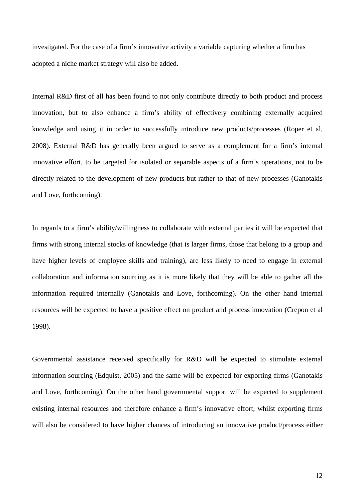investigated. For the case of a firm's innovative activity a variable capturing whether a firm has adopted a niche market strategy will also be added.

Internal R&D first of all has been found to not only contribute directly to both product and process innovation, but to also enhance a firm's ability of effectively combining externally acquired knowledge and using it in order to successfully introduce new products/processes (Roper et al, 2008). External R&D has generally been argued to serve as a complement for a firm's internal innovative effort, to be targeted for isolated or separable aspects of a firm's operations, not to be directly related to the development of new products but rather to that of new processes (Ganotakis and Love, forthcoming).

In regards to a firm's ability/willingness to collaborate with external parties it will be expected that firms with strong internal stocks of knowledge (that is larger firms, those that belong to a group and have higher levels of employee skills and training), are less likely to need to engage in external collaboration and information sourcing as it is more likely that they will be able to gather all the information required internally (Ganotakis and Love, forthcoming). On the other hand internal resources will be expected to have a positive effect on product and process innovation (Crepon et al 1998).

Governmental assistance received specifically for R&D will be expected to stimulate external information sourcing (Edquist, 2005) and the same will be expected for exporting firms (Ganotakis and Love, forthcoming). On the other hand governmental support will be expected to supplement existing internal resources and therefore enhance a firm's innovative effort, whilst exporting firms will also be considered to have higher chances of introducing an innovative product/process either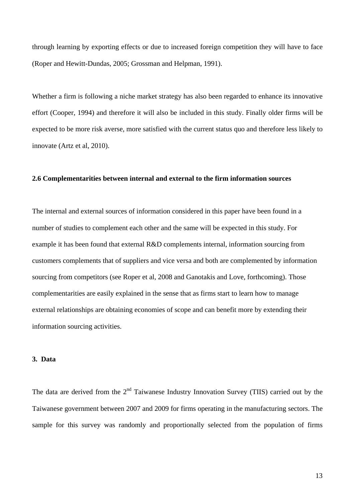through learning by exporting effects or due to increased foreign competition they will have to face (Roper and Hewitt-Dundas, 2005; Grossman and Helpman, 1991).

Whether a firm is following a niche market strategy has also been regarded to enhance its innovative effort (Cooper, 1994) and therefore it will also be included in this study. Finally older firms will be expected to be more risk averse, more satisfied with the current status quo and therefore less likely to innovate (Artz et al, 2010).

## **2.6 Complementarities between internal and external to the firm information sources**

The internal and external sources of information considered in this paper have been found in a number of studies to complement each other and the same will be expected in this study. For example it has been found that external R&D complements internal, information sourcing from customers complements that of suppliers and vice versa and both are complemented by information sourcing from competitors (see Roper et al, 2008 and Ganotakis and Love, forthcoming). Those complementarities are easily explained in the sense that as firms start to learn how to manage external relationships are obtaining economies of scope and can benefit more by extending their information sourcing activities.

#### **3. Data**

The data are derived from the  $2<sup>nd</sup>$  Taiwanese Industry Innovation Survey (TIIS) carried out by the Taiwanese government between 2007 and 2009 for firms operating in the manufacturing sectors. The sample for this survey was randomly and proportionally selected from the population of firms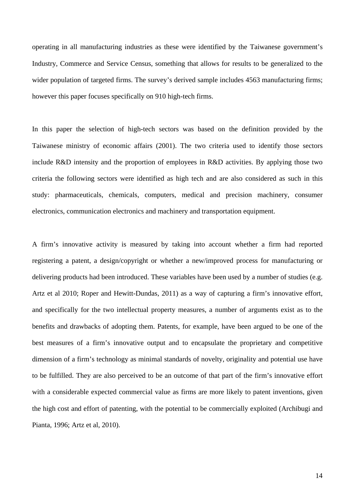operating in all manufacturing industries as these were identified by the Taiwanese government's Industry, Commerce and Service Census, something that allows for results to be generalized to the wider population of targeted firms. The survey's derived sample includes 4563 manufacturing firms; however this paper focuses specifically on 910 high-tech firms.

In this paper the selection of high-tech sectors was based on the definition provided by the Taiwanese ministry of economic affairs (2001). The two criteria used to identify those sectors include R&D intensity and the proportion of employees in R&D activities. By applying those two criteria the following sectors were identified as high tech and are also considered as such in this study: pharmaceuticals, chemicals, computers, medical and precision machinery, consumer electronics, communication electronics and machinery and transportation equipment.

A firm's innovative activity is measured by taking into account whether a firm had reported registering a patent, a design/copyright or whether a new/improved process for manufacturing or delivering products had been introduced. These variables have been used by a number of studies (e.g. Artz et al 2010; Roper and Hewitt-Dundas, 2011) as a way of capturing a firm's innovative effort, and specifically for the two intellectual property measures, a number of arguments exist as to the benefits and drawbacks of adopting them. Patents, for example, have been argued to be one of the best measures of a firm's innovative output and to encapsulate the proprietary and competitive dimension of a firm's technology as minimal standards of novelty, originality and potential use have to be fulfilled. They are also perceived to be an outcome of that part of the firm's innovative effort with a considerable expected commercial value as firms are more likely to patent inventions, given the high cost and effort of patenting, with the potential to be commercially exploited (Archibugi and Pianta, 1996; Artz et al, 2010).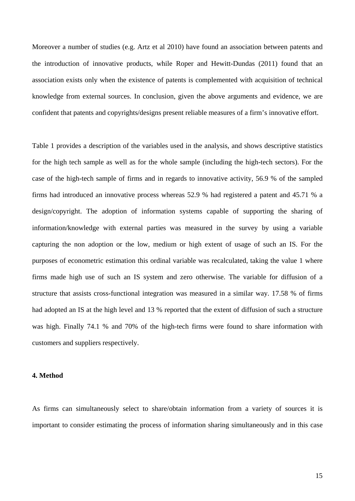Moreover a number of studies (e.g. Artz et al 2010) have found an association between patents and the introduction of innovative products, while Roper and Hewitt-Dundas (2011) found that an association exists only when the existence of patents is complemented with acquisition of technical knowledge from external sources. In conclusion, given the above arguments and evidence, we are confident that patents and copyrights/designs present reliable measures of a firm's innovative effort.

Table 1 provides a description of the variables used in the analysis, and shows descriptive statistics for the high tech sample as well as for the whole sample (including the high-tech sectors). For the case of the high-tech sample of firms and in regards to innovative activity, 56.9 % of the sampled firms had introduced an innovative process whereas 52.9 % had registered a patent and 45.71 % a design/copyright. The adoption of information systems capable of supporting the sharing of information/knowledge with external parties was measured in the survey by using a variable capturing the non adoption or the low, medium or high extent of usage of such an IS. For the purposes of econometric estimation this ordinal variable was recalculated, taking the value 1 where firms made high use of such an IS system and zero otherwise. The variable for diffusion of a structure that assists cross-functional integration was measured in a similar way. 17.58 % of firms had adopted an IS at the high level and 13 % reported that the extent of diffusion of such a structure was high. Finally 74.1 % and 70% of the high-tech firms were found to share information with customers and suppliers respectively.

#### **4. Method**

As firms can simultaneously select to share/obtain information from a variety of sources it is important to consider estimating the process of information sharing simultaneously and in this case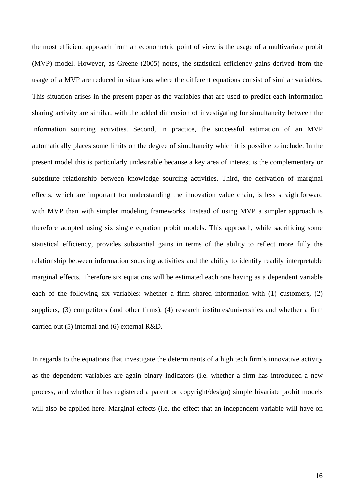the most efficient approach from an econometric point of view is the usage of a multivariate probit (MVP) model. However, as Greene (2005) notes, the statistical efficiency gains derived from the usage of a MVP are reduced in situations where the different equations consist of similar variables. This situation arises in the present paper as the variables that are used to predict each information sharing activity are similar, with the added dimension of investigating for simultaneity between the information sourcing activities. Second, in practice, the successful estimation of an MVP automatically places some limits on the degree of simultaneity which it is possible to include. In the present model this is particularly undesirable because a key area of interest is the complementary or substitute relationship between knowledge sourcing activities. Third, the derivation of marginal effects, which are important for understanding the innovation value chain, is less straightforward with MVP than with simpler modeling frameworks. Instead of using MVP a simpler approach is therefore adopted using six single equation probit models. This approach, while sacrificing some statistical efficiency, provides substantial gains in terms of the ability to reflect more fully the relationship between information sourcing activities and the ability to identify readily interpretable marginal effects. Therefore six equations will be estimated each one having as a dependent variable each of the following six variables: whether a firm shared information with (1) customers, (2) suppliers, (3) competitors (and other firms), (4) research institutes/universities and whether a firm carried out (5) internal and (6) external R&D.

In regards to the equations that investigate the determinants of a high tech firm's innovative activity as the dependent variables are again binary indicators (i.e. whether a firm has introduced a new process, and whether it has registered a patent or copyright/design) simple bivariate probit models will also be applied here. Marginal effects (i.e. the effect that an independent variable will have on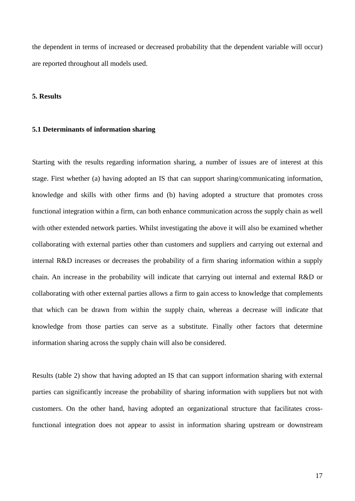the dependent in terms of increased or decreased probability that the dependent variable will occur) are reported throughout all models used.

#### **5. Results**

#### **5.1 Determinants of information sharing**

Starting with the results regarding information sharing, a number of issues are of interest at this stage. First whether (a) having adopted an IS that can support sharing/communicating information, knowledge and skills with other firms and (b) having adopted a structure that promotes cross functional integration within a firm, can both enhance communication across the supply chain as well with other extended network parties. Whilst investigating the above it will also be examined whether collaborating with external parties other than customers and suppliers and carrying out external and internal R&D increases or decreases the probability of a firm sharing information within a supply chain. An increase in the probability will indicate that carrying out internal and external R&D or collaborating with other external parties allows a firm to gain access to knowledge that complements that which can be drawn from within the supply chain, whereas a decrease will indicate that knowledge from those parties can serve as a substitute. Finally other factors that determine information sharing across the supply chain will also be considered.

Results (table 2) show that having adopted an IS that can support information sharing with external parties can significantly increase the probability of sharing information with suppliers but not with customers. On the other hand, having adopted an organizational structure that facilitates crossfunctional integration does not appear to assist in information sharing upstream or downstream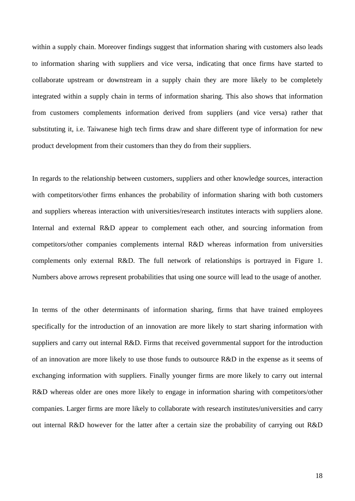within a supply chain. Moreover findings suggest that information sharing with customers also leads to information sharing with suppliers and vice versa, indicating that once firms have started to collaborate upstream or downstream in a supply chain they are more likely to be completely integrated within a supply chain in terms of information sharing. This also shows that information from customers complements information derived from suppliers (and vice versa) rather that substituting it, i.e. Taiwanese high tech firms draw and share different type of information for new product development from their customers than they do from their suppliers.

In regards to the relationship between customers, suppliers and other knowledge sources, interaction with competitors/other firms enhances the probability of information sharing with both customers and suppliers whereas interaction with universities/research institutes interacts with suppliers alone. Internal and external R&D appear to complement each other, and sourcing information from competitors/other companies complements internal R&D whereas information from universities complements only external R&D. The full network of relationships is portrayed in Figure 1. Numbers above arrows represent probabilities that using one source will lead to the usage of another.

In terms of the other determinants of information sharing, firms that have trained employees specifically for the introduction of an innovation are more likely to start sharing information with suppliers and carry out internal R&D. Firms that received governmental support for the introduction of an innovation are more likely to use those funds to outsource R&D in the expense as it seems of exchanging information with suppliers. Finally younger firms are more likely to carry out internal R&D whereas older are ones more likely to engage in information sharing with competitors/other companies. Larger firms are more likely to collaborate with research institutes/universities and carry out internal R&D however for the latter after a certain size the probability of carrying out R&D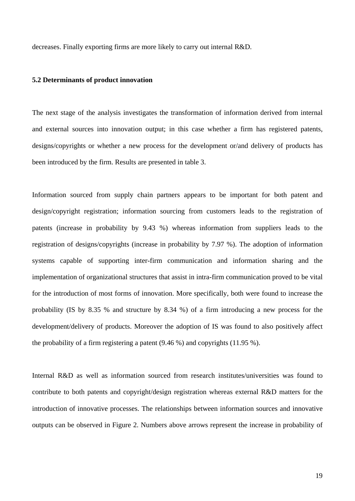decreases. Finally exporting firms are more likely to carry out internal R&D.

#### **5.2 Determinants of product innovation**

The next stage of the analysis investigates the transformation of information derived from internal and external sources into innovation output; in this case whether a firm has registered patents, designs/copyrights or whether a new process for the development or/and delivery of products has been introduced by the firm. Results are presented in table 3.

Information sourced from supply chain partners appears to be important for both patent and design/copyright registration; information sourcing from customers leads to the registration of patents (increase in probability by 9.43 %) whereas information from suppliers leads to the registration of designs/copyrights (increase in probability by 7.97 %). The adoption of information systems capable of supporting inter-firm communication and information sharing and the implementation of organizational structures that assist in intra-firm communication proved to be vital for the introduction of most forms of innovation. More specifically, both were found to increase the probability (IS by 8.35 % and structure by 8.34 %) of a firm introducing a new process for the development/delivery of products. Moreover the adoption of IS was found to also positively affect the probability of a firm registering a patent (9.46 %) and copyrights (11.95 %).

Internal R&D as well as information sourced from research institutes/universities was found to contribute to both patents and copyright/design registration whereas external R&D matters for the introduction of innovative processes. The relationships between information sources and innovative outputs can be observed in Figure 2. Numbers above arrows represent the increase in probability of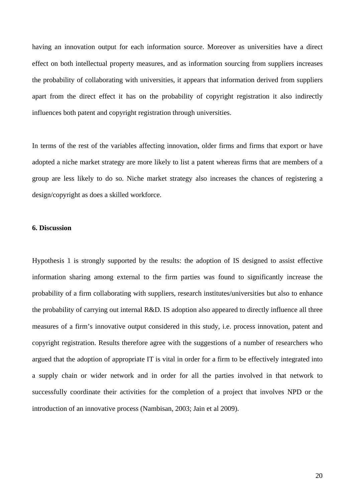having an innovation output for each information source. Moreover as universities have a direct effect on both intellectual property measures, and as information sourcing from suppliers increases the probability of collaborating with universities, it appears that information derived from suppliers apart from the direct effect it has on the probability of copyright registration it also indirectly influences both patent and copyright registration through universities.

In terms of the rest of the variables affecting innovation, older firms and firms that export or have adopted a niche market strategy are more likely to list a patent whereas firms that are members of a group are less likely to do so. Niche market strategy also increases the chances of registering a design/copyright as does a skilled workforce.

## **6. Discussion**

Hypothesis 1 is strongly supported by the results: the adoption of IS designed to assist effective information sharing among external to the firm parties was found to significantly increase the probability of a firm collaborating with suppliers, research institutes/universities but also to enhance the probability of carrying out internal R&D. IS adoption also appeared to directly influence all three measures of a firm's innovative output considered in this study, i.e. process innovation, patent and copyright registration. Results therefore agree with the suggestions of a number of researchers who argued that the adoption of appropriate IT is vital in order for a firm to be effectively integrated into a supply chain or wider network and in order for all the parties involved in that network to successfully coordinate their activities for the completion of a project that involves NPD or the introduction of an innovative process (Nambisan, 2003; Jain et al 2009).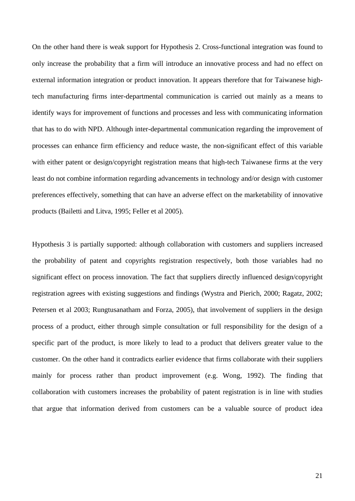On the other hand there is weak support for Hypothesis 2. Cross-functional integration was found to only increase the probability that a firm will introduce an innovative process and had no effect on external information integration or product innovation. It appears therefore that for Taiwanese hightech manufacturing firms inter-departmental communication is carried out mainly as a means to identify ways for improvement of functions and processes and less with communicating information that has to do with NPD. Although inter-departmental communication regarding the improvement of processes can enhance firm efficiency and reduce waste, the non-significant effect of this variable with either patent or design/copyright registration means that high-tech Taiwanese firms at the very least do not combine information regarding advancements in technology and/or design with customer preferences effectively, something that can have an adverse effect on the marketability of innovative products (Bailetti and Litva, 1995; Feller et al 2005).

Hypothesis 3 is partially supported: although collaboration with customers and suppliers increased the probability of patent and copyrights registration respectively, both those variables had no significant effect on process innovation. The fact that suppliers directly influenced design/copyright registration agrees with existing suggestions and findings (Wystra and Pierich, 2000; Ragatz, 2002; Petersen et al 2003; Rungtusanatham and Forza, 2005), that involvement of suppliers in the design process of a product, either through simple consultation or full responsibility for the design of a specific part of the product, is more likely to lead to a product that delivers greater value to the customer. On the other hand it contradicts earlier evidence that firms collaborate with their suppliers mainly for process rather than product improvement (e.g. Wong, 1992). The finding that collaboration with customers increases the probability of patent registration is in line with studies that argue that information derived from customers can be a valuable source of product idea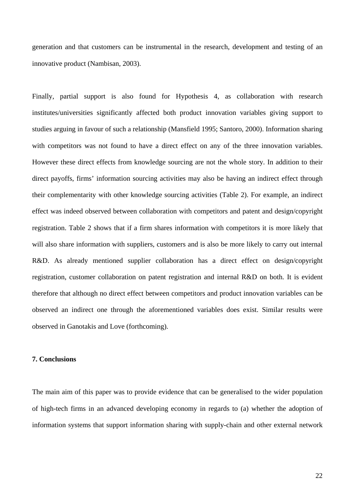generation and that customers can be instrumental in the research, development and testing of an innovative product (Nambisan, 2003).

Finally, partial support is also found for Hypothesis 4, as collaboration with research institutes/universities significantly affected both product innovation variables giving support to studies arguing in favour of such a relationship (Mansfield 1995; Santoro, 2000). Information sharing with competitors was not found to have a direct effect on any of the three innovation variables. However these direct effects from knowledge sourcing are not the whole story. In addition to their direct payoffs, firms' information sourcing activities may also be having an indirect effect through their complementarity with other knowledge sourcing activities (Table 2). For example, an indirect effect was indeed observed between collaboration with competitors and patent and design/copyright registration. Table 2 shows that if a firm shares information with competitors it is more likely that will also share information with suppliers, customers and is also be more likely to carry out internal R&D. As already mentioned supplier collaboration has a direct effect on design/copyright registration, customer collaboration on patent registration and internal R&D on both. It is evident therefore that although no direct effect between competitors and product innovation variables can be observed an indirect one through the aforementioned variables does exist. Similar results were observed in Ganotakis and Love (forthcoming).

#### **7. Conclusions**

The main aim of this paper was to provide evidence that can be generalised to the wider population of high-tech firms in an advanced developing economy in regards to (a) whether the adoption of information systems that support information sharing with supply-chain and other external network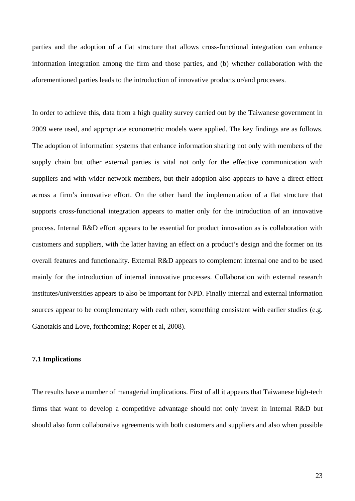parties and the adoption of a flat structure that allows cross-functional integration can enhance information integration among the firm and those parties, and (b) whether collaboration with the aforementioned parties leads to the introduction of innovative products or/and processes.

In order to achieve this, data from a high quality survey carried out by the Taiwanese government in 2009 were used, and appropriate econometric models were applied. The key findings are as follows. The adoption of information systems that enhance information sharing not only with members of the supply chain but other external parties is vital not only for the effective communication with suppliers and with wider network members, but their adoption also appears to have a direct effect across a firm's innovative effort. On the other hand the implementation of a flat structure that supports cross-functional integration appears to matter only for the introduction of an innovative process. Internal R&D effort appears to be essential for product innovation as is collaboration with customers and suppliers, with the latter having an effect on a product's design and the former on its overall features and functionality. External R&D appears to complement internal one and to be used mainly for the introduction of internal innovative processes. Collaboration with external research institutes/universities appears to also be important for NPD. Finally internal and external information sources appear to be complementary with each other, something consistent with earlier studies (e.g. Ganotakis and Love, forthcoming; Roper et al, 2008).

## **7.1 Implications**

The results have a number of managerial implications. First of all it appears that Taiwanese high-tech firms that want to develop a competitive advantage should not only invest in internal R&D but should also form collaborative agreements with both customers and suppliers and also when possible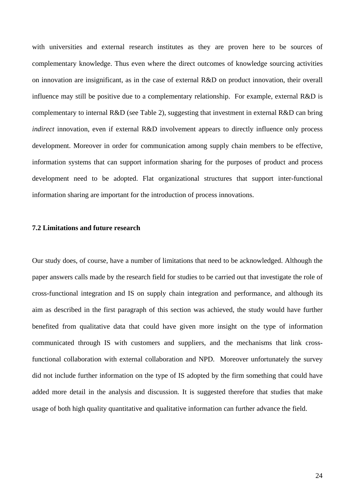with universities and external research institutes as they are proven here to be sources of complementary knowledge. Thus even where the direct outcomes of knowledge sourcing activities on innovation are insignificant, as in the case of external R&D on product innovation, their overall influence may still be positive due to a complementary relationship. For example, external R&D is complementary to internal R&D (see Table 2), suggesting that investment in external R&D can bring *indirect* innovation, even if external R&D involvement appears to directly influence only process development. Moreover in order for communication among supply chain members to be effective, information systems that can support information sharing for the purposes of product and process development need to be adopted. Flat organizational structures that support inter-functional information sharing are important for the introduction of process innovations.

## **7.2 Limitations and future research**

Our study does, of course, have a number of limitations that need to be acknowledged. Although the paper answers calls made by the research field for studies to be carried out that investigate the role of cross-functional integration and IS on supply chain integration and performance, and although its aim as described in the first paragraph of this section was achieved, the study would have further benefited from qualitative data that could have given more insight on the type of information communicated through IS with customers and suppliers, and the mechanisms that link crossfunctional collaboration with external collaboration and NPD. Moreover unfortunately the survey did not include further information on the type of IS adopted by the firm something that could have added more detail in the analysis and discussion. It is suggested therefore that studies that make usage of both high quality quantitative and qualitative information can further advance the field.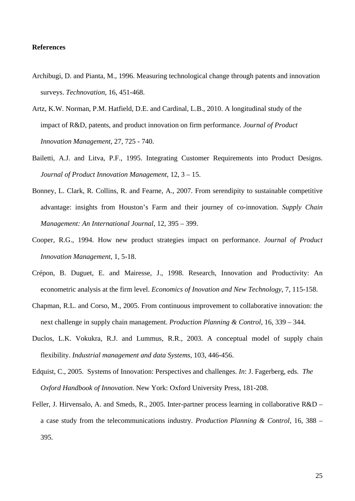#### **References**

- Archibugi, D. and Pianta, M., 1996. Measuring technological change through patents and innovation surveys. *Technovation*, 16, 451-468.
- Artz, K.W. Norman, P.M. Hatfield, D.E. and Cardinal, L.B., 2010. A longitudinal study of the impact of R&D, patents, and product innovation on firm performance. *Journal of Product Innovation Management*, 27, 725 - 740.
- Bailetti, A.J. and Litva, P.F., 1995. Integrating Customer Requirements into Product Designs. *Journal of Product Innovation Management*, 12, 3 – 15.
- Bonney, L. Clark, R. Collins, R. and Fearne, A., 2007. From serendipity to sustainable competitive advantage: insights from Houston's Farm and their journey of co-innovation. *Supply Chain Management: An International Journal*, 12, 395 – 399.
- Cooper, R.G., 1994. How new product strategies impact on performance. *Journal of Product Innovation Management*, 1, 5-18.
- Crépon, B. Duguet, E. and Mairesse, J., 1998. Research, Innovation and Productivity: An econometric analysis at the firm level. *Economics of Inovation and New Technology*, 7, 115-158.
- Chapman, R.L. and Corso, M., 2005. From continuous improvement to collaborative innovation: the next challenge in supply chain management. *Production Planning & Control*, 16, 339 – 344.
- Duclos, L.K. Vokukra, R.J. and Lummus, R.R., 2003. A conceptual model of supply chain flexibility. *Industrial management and data Systems*, 103, 446-456.
- Edquist, C., 2005. Systems of Innovation: Perspectives and challenges. *In*: J. Fagerberg, eds. *The Oxford Handbook of Innovation*. New York: Oxford University Press, 181-208.
- Feller, J. Hirvensalo, A. and Smeds, R., 2005. Inter-partner process learning in collaborative R&D a case study from the telecommunications industry. *Production Planning & Control*, 16, 388 – 395.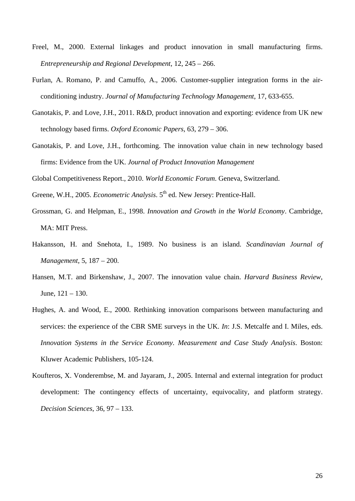- Freel, M., 2000. External linkages and product innovation in small manufacturing firms. *Entrepreneurship and Regional Development*, 12, 245 – 266.
- Furlan, A. Romano, P. and Camuffo, A., 2006. Customer-supplier integration forms in the airconditioning industry. *Journal of Manufacturing Technology Management*, 17, 633-655.
- Ganotakis, P. and Love, J.H., 2011. R&D, product innovation and exporting: evidence from UK new technology based firms. *Oxford Economic Papers*, 63, 279 – 306.
- Ganotakis, P. and Love, J.H., forthcoming. The innovation value chain in new technology based firms: Evidence from the UK. *Journal of Product Innovation Management*

Global Competitiveness Report., 2010. *World Economic Forum*. Geneva, Switzerland.

- Greene, W.H., 2005. *Econometric Analysis*. 5<sup>th</sup> ed. New Jersey: Prentice-Hall.
- Grossman, G. and Helpman, E., 1998. *Innovation and Growth in the World Economy*. Cambridge, MA: MIT Press.
- Hakansson, H. and Snehota, I., 1989. No business is an island. *Scandinavian Journal of Management*, 5, 187 – 200.
- Hansen, M.T. and Birkenshaw, J., 2007. The innovation value chain. *Harvard Business Review*, June, 121 – 130.
- Hughes, A. and Wood, E., 2000. Rethinking innovation comparisons between manufacturing and services: the experience of the CBR SME surveys in the UK. *In*: J.S. Metcalfe and I. Miles, eds. *Innovation Systems in the Service Economy. Measurement and Case Study Analysis*. Boston: Kluwer Academic Publishers, 105-124.
- Koufteros, X. Vonderembse, M. and Jayaram, J., 2005. Internal and external integration for product development: The contingency effects of uncertainty, equivocality, and platform strategy. *Decision Sciences*, 36, 97 – 133.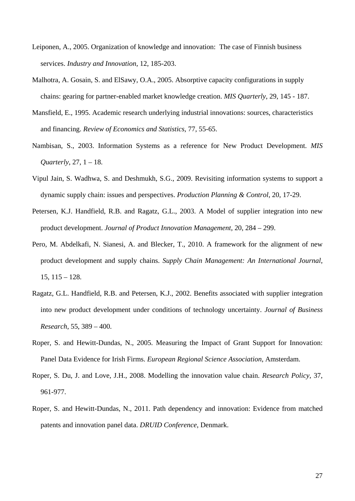- Leiponen, A., 2005. Organization of knowledge and innovation: The case of Finnish business services. *Industry and Innovation*, 12, 185-203.
- Malhotra, A. Gosain, S. and ElSawy, O.A., 2005. Absorptive capacity configurations in supply chains: gearing for partner-enabled market knowledge creation. *MIS Quarterly*, 29, 145 - 187.
- Mansfield, E., 1995. Academic research underlying industrial innovations: sources, characteristics and financing. *Review of Economics and Statistics*, 77, 55-65.
- Nambisan, S., 2003. Information Systems as a reference for New Product Development. *MIS Quarterly*, 27, 1 – 18.
- Vipul Jain, S. Wadhwa, S. and Deshmukh, S.G., 2009. Revisiting information systems to support a dynamic supply chain: issues and perspectives. *Production Planning & Control*, 20, 17-29.
- Petersen, K.J. Handfield, R.B. and Ragatz, G.L., 2003. A Model of supplier integration into new product development. *Journal of Product Innovation Management*, 20, 284 – 299.
- Pero, M. Abdelkafi, N. Sianesi, A. and Blecker, T., 2010. A framework for the alignment of new product development and supply chains. *Supply Chain Management: An International Journal*, 15, 115 – 128.
- Ragatz, G.L. Handfield, R.B. and Petersen, K.J., 2002. Benefits associated with supplier integration into new product development under conditions of technology uncertainty. *Journal of Business Research*, 55, 389 – 400.
- Roper, S. and Hewitt-Dundas, N., 2005. Measuring the Impact of Grant Support for Innovation: Panel Data Evidence for Irish Firms. *European Regional Science Association*, Amsterdam.
- Roper, S. Du, J. and Love, J.H., 2008. Modelling the innovation value chain. *Research Policy*, 37, 961-977.
- Roper, S. and Hewitt-Dundas, N., 2011. Path dependency and innovation: Evidence from matched patents and innovation panel data. *DRUID Conference*, Denmark.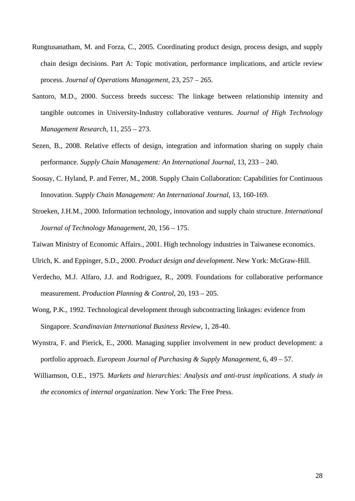- Rungtusanatham, M. and Forza, C., 2005. Coordinating product design, process design, and supply chain design decisions. Part A: Topic motivation, performance implications, and article review process. *Journal of Operations Management*, 23, 257 – 265.
- Santoro, M.D., 2000. Success breeds success: The linkage between relationship intensity and tangible outcomes in University-Industry collaborative ventures. *Journal of High Technology Management Research*, 11, 255 – 273.
- Sezen, B., 2008. Relative effects of design, integration and information sharing on supply chain performance. *Supply Chain Management: An International Journal*, 13, 233 – 240.
- Soosay, C. Hyland, P. and Ferrer, M., 2008. Supply Chain Collaboration: Capabilities for Continuous Innovation. *Supply Chain Management: An International Journal*, 13, 160-169.
- Stroeken, J.H.M., 2000. Information technology, innovation and supply chain structure. *International Journal of Technology Management*, 20, 156 – 175.
- Taiwan Ministry of Economic Affairs., 2001. High technology industries in Taiwanese economics.
- Ulrich, K. and Eppinger, S.D., 2000. *Product design and development*. New York: McGraw-Hill.
- Verdecho, M.J. Alfaro, J.J. and Rodriguez, R., 2009. Foundations for collaborative performance measurement. *Production Planning & Control*, 20, 193 – 205.
- Wong, P.K., 1992. Technological development through subcontracting linkages: evidence from Singapore. *Scandinavian International Business Review*, 1, 28-40.
- Wynstra, F. and Pierick, E., 2000. Managing supplier involvement in new product development: a portfolio approach. *European Journal of Purchasing & Supply Management*, 6, 49 – 57.
- Williamson, O.E., 1975. *Markets and hierarchies: Analysis and anti-trust implications. A study in the economics of internal organization*. New York: The Free Press.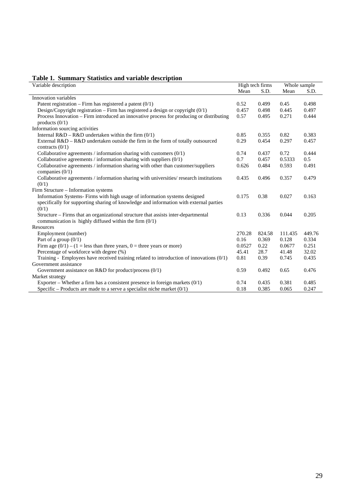| Table 1. Summary Statistics and variable description<br>Variable description               |        | High tech firms |         | Whole sample |  |
|--------------------------------------------------------------------------------------------|--------|-----------------|---------|--------------|--|
|                                                                                            | Mean   | S.D.            | Mean    | S.D.         |  |
| Innovation variables                                                                       |        |                 |         |              |  |
| Patent registration – Firm has registered a patent $(0/1)$                                 | 0.52   | 0.499           | 0.45    | 0.498        |  |
| Design/Copyright registration – Firm has registered a design or copyright $(0/1)$          | 0.457  | 0.498           | 0.445   | 0.497        |  |
| Process Innovation – Firm introduced an innovative process for producing or distributing   | 0.57   | 0.495           | 0.271   | 0.444        |  |
| products $(0/1)$                                                                           |        |                 |         |              |  |
| Information sourcing activities                                                            |        |                 |         |              |  |
| Internal $R&D - R&D$ undertaken within the firm $(0/1)$                                    | 0.85   | 0.355           | 0.82    | 0.383        |  |
| External $R&D - R&D$ undertaken outside the firm in the form of totally outsourced         | 0.29   | 0.454           | 0.297   | 0.457        |  |
| contracts $(0/1)$                                                                          |        |                 |         |              |  |
| Collaborative agreements / information sharing with customers $(0/1)$                      | 0.74   | 0.437           | 0.72    | 0.444        |  |
| Collaborative agreements / information sharing with suppliers $(0/1)$                      | 0.7    | 0.457           | 0.5333  | 0.5          |  |
| Collaborative agreements / information sharing with other than customer/suppliers          | 0.626  | 0.484           | 0.593   | 0.491        |  |
| companies $(0/1)$                                                                          |        |                 |         |              |  |
| Collaborative agreements / information sharing with universities/ research institutions    | 0.435  | 0.496           | 0.357   | 0.479        |  |
| (0/1)                                                                                      |        |                 |         |              |  |
| Firm Structure - Information systems                                                       |        |                 |         |              |  |
| Information Systems- Firms with high usage of information systems designed                 | 0.175  | 0.38            | 0.027   | 0.163        |  |
| specifically for supporting sharing of knowledge and information with external parties     |        |                 |         |              |  |
| (0/1)                                                                                      |        |                 |         |              |  |
| Structure - Firms that an organizational structure that assists inter-departmental         | 0.13   | 0.336           | 0.044   | 0.205        |  |
| communication is highly diffused within the firm $(0/1)$                                   |        |                 |         |              |  |
| Resources                                                                                  |        |                 |         |              |  |
| Employment (number)                                                                        | 270.28 | 824.58          | 111.435 | 449.76       |  |
| Part of a group $(0/1)$                                                                    | 0.16   | 0.369           | 0.128   | 0.334        |  |
| Firm age $(0/1) - (1)$ = less than three years, 0 = three years or more)                   | 0.0527 | 0.22            | 0.0677  | 0.251        |  |
| Percentage of workforce with degree (%)                                                    | 45.41  | 28.7            | 41.48   | 32.02        |  |
| Training - Employees have received training related to introduction of innovations $(0/1)$ | 0.81   | 0.39            | 0.745   | 0.435        |  |
| Government assistance                                                                      |        |                 |         |              |  |
| Government assistance on R&D for product/process (0/1)                                     | 0.59   | 0.492           | 0.65    | 0.476        |  |
| Market strategy                                                                            |        |                 |         |              |  |
| Exporter – Whether a firm has a consistent presence in foreign markets $(0/1)$             | 0.74   | 0.435           | 0.381   | 0.485        |  |
| Specific – Products are made to a serve a specialist niche market $(0/1)$                  | 0.18   | 0.385           | 0.065   | 0.247        |  |

## **Table 1. Summary Statistics and variable description**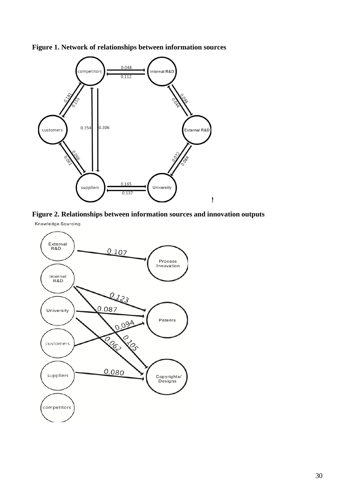

**Figure 1. Network of relationships between information sources** 



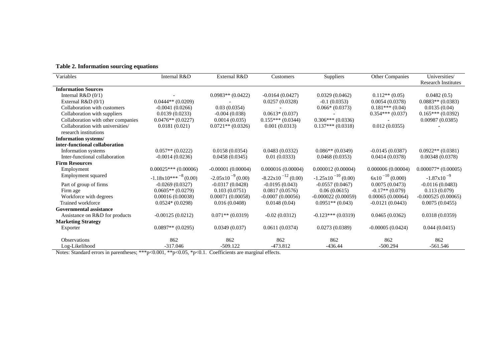| Variables                          | Internal R&D                                 | External R&D           | Customers                      | Suppliers               | Other Companies      | Universities/<br><b>Research Institutes</b> |
|------------------------------------|----------------------------------------------|------------------------|--------------------------------|-------------------------|----------------------|---------------------------------------------|
| <b>Information Sources</b>         |                                              |                        |                                |                         |                      |                                             |
| Internal $R&D(0/1)$                |                                              | $0.0983**$ $(0.0422)$  | $-0.0164(0.0427)$              | 0.0329(0.0462)          | $0.112**$ (0.05)     | 0.0482(0.5)                                 |
| External $R&D(0/1)$                | $0.0444**$ (0.0209)                          |                        | 0.0257(0.0328)                 | $-0.1(0.0353)$          | 0.0054(0.0378)       | $0.0883**$ (0.0383)                         |
| Collaboration with customers       | $-0.0041(0.0266)$                            | 0.03(0.0354)           |                                | $0.066*(0.0373)$        | $0.181***(0.04)$     | 0.0135(0.04)                                |
| Collaboration with suppliers       | 0.0139(0.0233)                               | $-0.004(0.038)$        | $0.0613*(0.037)$               |                         | $0.354***(0.037)$    | $0.165***(0.0392)$                          |
| Collaboration with other companies | $0.0476**$ (0.0227)                          | 0.0014(0.035)          | $0.155***(0.0344)$             | $0.306***(0.0336)$      |                      | 0.00987(0.0385)                             |
| Collaboration with universities/   | 0.0181(0.021)                                | $0.0721**$ (0.0326)    | 0.001(0.0313)                  | $0.137***(0.0318)$      | 0.012(0.0355)        |                                             |
| research institutions              |                                              |                        |                                |                         |                      |                                             |
| <b>Information systems/</b>        |                                              |                        |                                |                         |                      |                                             |
| inter-functional collaboration     |                                              |                        |                                |                         |                      |                                             |
| Information systems                | $0.057**$ (0.0222)                           | 0.0158(0.0354)         | 0.0483(0.0332)                 | $0.086**$ (0.0349)      | $-0.0145(0.0387)$    | $0.0922**$ (0.0381)                         |
| Inter-functional collaboration     | $-0.0014(0.0236)$                            | 0.0458(0.0345)         | 0.01(0.0333)                   | 0.0468(0.0353)          | 0.0414(0.0378)       | 0.00348(0.0378)                             |
| <b>Firm Resources</b>              |                                              |                        |                                |                         |                      |                                             |
| Employment                         | $0.00025***(0.00006)$                        | $-0.00001(0.00004)$    | 0.000016(0.00004)              | 0.000012(0.00004)       | 0.000006(0.00004)    | $0.000077*(0.00005)$                        |
| Employment squared                 | $-1.18 \times 10^{***}$ <sup>-8</sup> (0.00) | $-2.05x10^{-9}$ (0.00) | $-8.22 \times 10^{-12}$ (0.00) | $-1.25x10^{-10}$ (0.00) | $6x10^{-10}$ (0.000) | $-1.87 \times 10^{-9}$                      |
| Part of group of firms             | $-0.0269(0.0327)$                            | $-0.0317(0.0428)$      | $-0.0195(0.043)$               | $-0.0557(0.0467)$       | 0.0075(0.0473)       | $-0.0116(0.0483)$                           |
| Firm age                           | $0.0605**$ (0.0279)                          | 0.103(0.0751)          | 0.0817(0.0576)                 | 0.06(0.0615)            | $-0.17**$ (0.079)    | 0.113(0.079)                                |
| Workforce with degrees             | 0.00016(0.00038)                             | 0.00071(0.00058)       | $-0.0007(0.00056)$             | $-0.000022(0.00059)$    | 0.00065(0.00064)     | $-0.000525(0.00065)$                        |
| Trained workforce                  | $0.0524*(0.0298)$                            | 0.016(0.0408)          | 0.0148(0.04)                   | $0.0951**$ (0.043)      | $-0.0121(0.0443)$    | 0.0075(0.0455)                              |
| <b>Governmental assistance</b>     |                                              |                        |                                |                         |                      |                                             |
| Assistance on R&D for products     | $-0.00125(0.0212)$                           | $0.071**$ (0.0319)     | $-0.02(0.0312)$                | $-0.123***(0.0319)$     | 0.0465(0.0362)       | 0.0318(0.0359)                              |
| <b>Marketing Strategy</b>          |                                              |                        |                                |                         |                      |                                             |
| Exporter                           | $0.0897**$ (0.0295)                          | 0.0349(0.037)          | 0.0611(0.0374)                 | 0.0273(0.0389)          | $-0.00005(0.0424)$   | 0.044(0.0415)                               |
| <b>Observations</b>                | 862                                          | 862                    | 862                            | 862                     | 862                  | 862                                         |
| Log-Likelihood                     | $-317.046$                                   | $-509.122$             | $-473.812$                     | $-436.44$               | $-500.294$           | $-561.546$                                  |

Notes: Standard errors in parentheses; \*\*\*p<0.001, \*\*p<0.05, \*p<0.1. Coefficients are marginal effects.